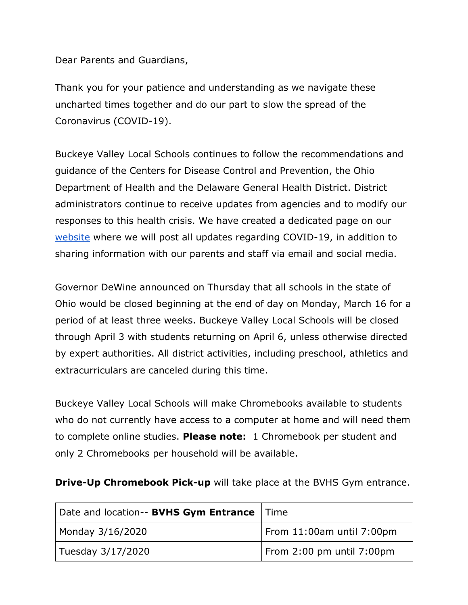Dear Parents and Guardians,

Thank you for your patience and understanding as we navigate these uncharted times together and do our part to slow the spread of the Coronavirus (COVID-19).

Buckeye Valley Local Schools continues to follow the recommendations and guidance of the Centers for Disease Control and Prevention, the Ohio Department of Health and the Delaware General Health District. District administrators continue to receive updates from agencies and to modify our responses to this health crisis. We have created a dedicated page on our [website](https://www.buckeyevalley.k12.oh.us/Content2/304) where we will post all updates regarding COVID-19, in addition to sharing information with our parents and staff via email and social media.

Governor DeWine announced on Thursday that all schools in the state of Ohio would be closed beginning at the end of day on Monday, March 16 for a period of at least three weeks. Buckeye Valley Local Schools will be closed through April 3 with students returning on April 6, unless otherwise directed by expert authorities. All district activities, including preschool, athletics and extracurriculars are canceled during this time.

Buckeye Valley Local Schools will make Chromebooks available to students who do not currently have access to a computer at home and will need them to complete online studies. **Please note:** 1 Chromebook per student and only 2 Chromebooks per household will be available.

**Drive-Up Chromebook Pick-up** will take place at the BVHS Gym entrance.

| Date and location-- BVHS Gym Entrance | l Time                    |
|---------------------------------------|---------------------------|
| Monday 3/16/2020                      | From 11:00am until 7:00pm |
| Tuesday 3/17/2020                     | From 2:00 pm until 7:00pm |